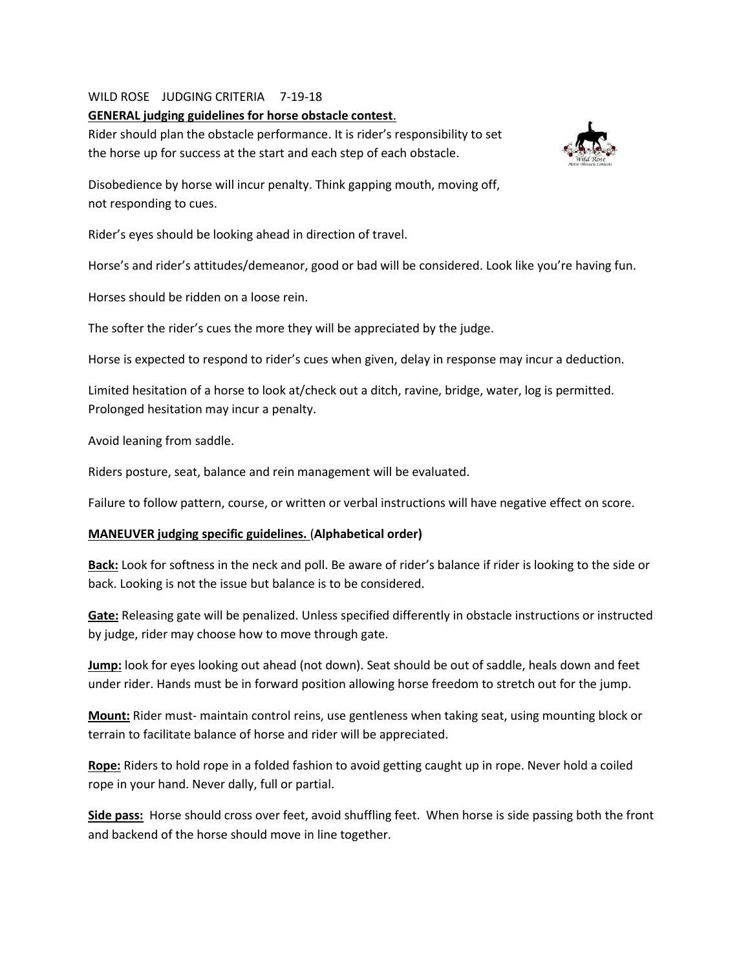## WILD ROSE JUDGING CRITERIA 7-19-18

## **GENERAL judging guidelines for horse obstacle contest**.

Rider should plan the obstacle performance. It is rider's responsibility to set the horse up for success at the start and each step of each obstacle.



Disobedience by horse will incur penalty. Think gapping mouth, moving off, not responding to cues.

Rider's eyes should be looking ahead in direction of travel.

Horse's and rider's attitudes/demeanor, good or bad will be considered. Look like you're having fun.

Horses should be ridden on a loose rein.

The softer the rider's cues the more they will be appreciated by the judge.

Horse is expected to respond to rider's cues when given, delay in response may incur a deduction.

Limited hesitation of a horse to look at/check out a ditch, ravine, bridge, water, log is permitted. Prolonged hesitation may incur a penalty.

Avoid leaning from saddle.

Riders posture, seat, balance and rein management will be evaluated.

Failure to follow pattern, course, or written or verbal instructions will have negative effect on score.

## **MANEUVER judging specific guidelines.** (**Alphabetical order)**

**Back:** Look for softness in the neck and poll. Be aware of rider's balance if rider is looking to the side or back. Looking is not the issue but balance is to be considered.

**Gate:** Releasing gate will be penalized. Unless specified differently in obstacle instructions or instructed by judge, rider may choose how to move through gate.

**Jump:** look for eyes looking out ahead (not down). Seat should be out of saddle, heals down and feet under rider. Hands must be in forward position allowing horse freedom to stretch out for the jump.

**Mount:** Rider must- maintain control reins, use gentleness when taking seat, using mounting block or terrain to facilitate balance of horse and rider will be appreciated.

**Rope:** Riders to hold rope in a folded fashion to avoid getting caught up in rope. Never hold a coiled rope in your hand. Never dally, full or partial.

**Side pass:** Horse should cross over feet, avoid shuffling feet. When horse is side passing both the front and backend of the horse should move in line together.